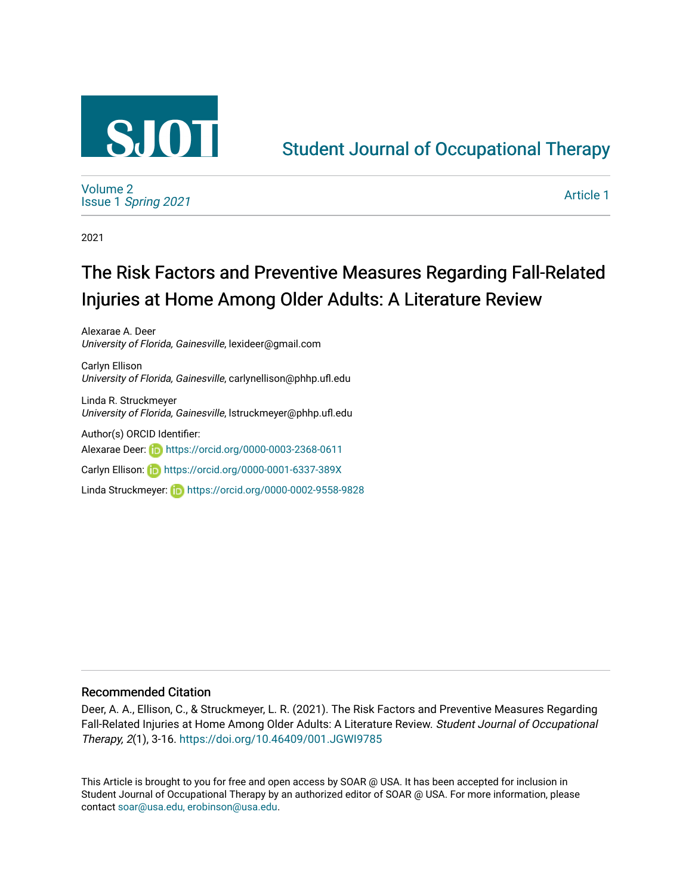

## [Student Journal of Occupational Therapy](https://soar.usa.edu/sjot)

[Volume 2](https://soar.usa.edu/sjot/vol2) Issue 1 [Spring 2021](https://soar.usa.edu/sjot/vol2/iss1) 

[Article 1](https://soar.usa.edu/sjot/vol2/iss1/1) 

2021

# The Risk Factors and Preventive Measures Regarding Fall-Related Injuries at Home Among Older Adults: A Literature Review

Alexarae A. Deer University of Florida, Gainesville, lexideer@gmail.com

Carlyn Ellison University of Florida, Gainesville, carlynellison@phhp.ufl.edu

Linda R. Struckmeyer University of Florida, Gainesville, lstruckmeyer@phhp.ufl.edu

Author(s) ORCID Identifier:

Alexarae Deer: **https://orcid.org/0000-0003-2368-0611** 

Carlyn Ellison: **in https://orcid.org/0000-0001-6337-389X** 

Linda Struckmeyer: **https://orcid.org/0000-0002-9558-9828** 

#### Recommended Citation

Deer, A. A., Ellison, C., & Struckmeyer, L. R. (2021). The Risk Factors and Preventive Measures Regarding Fall-Related Injuries at Home Among Older Adults: A Literature Review. Student Journal of Occupational Therapy, 2(1), 3-16. <https://doi.org/10.46409/001.JGWI9785>

This Article is brought to you for free and open access by SOAR @ USA. It has been accepted for inclusion in Student Journal of Occupational Therapy by an authorized editor of SOAR @ USA. For more information, please contact [soar@usa.edu, erobinson@usa.edu.](mailto:soar@usa.edu,%20erobinson@usa.edu)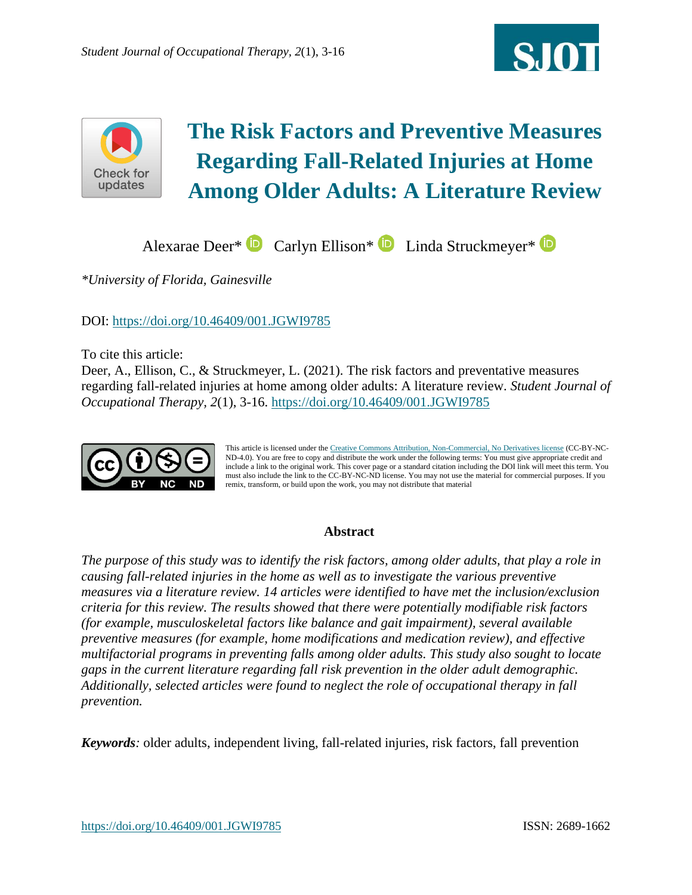



# **The Risk Factors and Preventive Measures Regarding Fall-Related Injuries at Home Among Older Adults: A Literature Review**

AlexaraeDeer\* **D** Carlyn Ellison\* **D** Linda Struckmeyer\* **D** 

*\*University of Florida, Gainesville*

DOI:<https://doi.org/10.46409/001.JGWI9785>

To cite this article:

Deer, A., Ellison, C., & Struckmeyer, L. (2021). The risk factors and preventative measures regarding fall-related injuries at home among older adults: A literature review. *Student Journal of Occupational Therapy, 2*(1), 3-16. <https://doi.org/10.46409/001.JGWI9785>



This article is licensed under th[e Creative Commons Attribution, Non-Commercial, No Derivatives license](https://creativecommons.org/licenses/by-nc-nd/4.0/) (CC-BY-NC-ND-4.0). You are free to copy and distribute the work under the following terms: You must give appropriate credit and include a link to the original work. This cover page or a standard citation including the DOI link will meet this term. You must also include the link to the CC-BY-NC-ND license. You may not use the material for commercial purposes. If you remix, transform, or build upon the work, you may not distribute that material

#### **Abstract**

*The purpose of this study was to identify the risk factors, among older adults, that play a role in causing fall-related injuries in the home as well as to investigate the various preventive measures via a literature review. 14 articles were identified to have met the inclusion/exclusion criteria for this review. The results showed that there were potentially modifiable risk factors (for example, musculoskeletal factors like balance and gait impairment), several available preventive measures (for example, home modifications and medication review), and effective multifactorial programs in preventing falls among older adults. This study also sought to locate gaps in the current literature regarding fall risk prevention in the older adult demographic. Additionally, selected articles were found to neglect the role of occupational therapy in fall prevention.*

*Keywords:* older adults, independent living, fall-related injuries, risk factors, fall prevention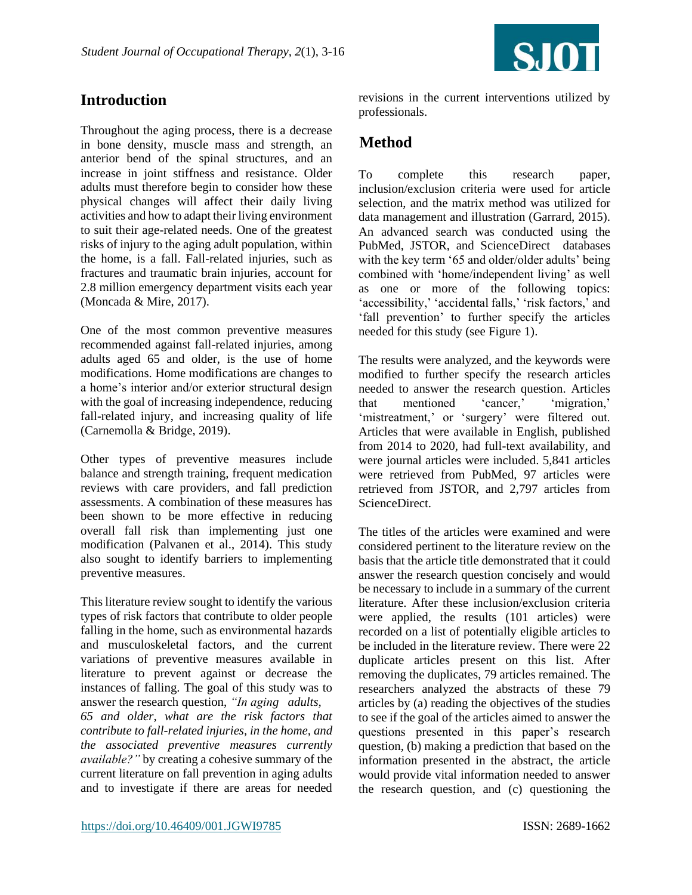

## **Introduction**

Throughout the aging process, there is a decrease in bone density, muscle mass and strength, an anterior bend of the spinal structures, and an increase in joint stiffness and resistance. Older adults must therefore begin to consider how these physical changes will affect their daily living activities and how to adapt their living environment to suit their age-related needs. One of the greatest risks of injury to the aging adult population, within the home, is a fall. Fall-related injuries, such as fractures and traumatic brain injuries, account for 2.8 million emergency department visits each year (Moncada & Mire, 2017).

One of the most common preventive measures recommended against fall-related injuries, among adults aged 65 and older, is the use of home modifications. Home modifications are changes to a home's interior and/or exterior structural design with the goal of increasing independence, reducing fall-related injury, and increasing quality of life (Carnemolla & Bridge, 2019).

Other types of preventive measures include balance and strength training, frequent medication reviews with care providers, and fall prediction assessments. A combination of these measures has been shown to be more effective in reducing overall fall risk than implementing just one modification (Palvanen et al., 2014). This study also sought to identify barriers to implementing preventive measures.

This literature review sought to identify the various types of risk factors that contribute to older people falling in the home, such as environmental hazards and musculoskeletal factors, and the current variations of preventive measures available in literature to prevent against or decrease the instances of falling. The goal of this study was to answer the research question, *"In aging adults,* 

*65 and older, what are the risk factors that contribute to fall-related injuries, in the home, and the associated preventive measures currently available?"* by creating a cohesive summary of the current literature on fall prevention in aging adults and to investigate if there are areas for needed revisions in the current interventions utilized by professionals.

## **Method**

To complete this research paper, inclusion/exclusion criteria were used for article selection, and the matrix method was utilized for data management and illustration (Garrard, 2015). An advanced search was conducted using the PubMed, JSTOR, and ScienceDirect databases with the key term '65 and older/older adults' being combined with 'home/independent living' as well as one or more of the following topics: 'accessibility,' 'accidental falls,' 'risk factors,' and 'fall prevention' to further specify the articles needed for this study (see Figure 1).

The results were analyzed, and the keywords were modified to further specify the research articles needed to answer the research question. Articles that mentioned 'cancer,' 'migration,' 'mistreatment,' or 'surgery' were filtered out. Articles that were available in English, published from 2014 to 2020, had full-text availability, and were journal articles were included. 5,841 articles were retrieved from PubMed, 97 articles were retrieved from JSTOR, and 2,797 articles from ScienceDirect.

The titles of the articles were examined and were considered pertinent to the literature review on the basis that the article title demonstrated that it could answer the research question concisely and would be necessary to include in a summary of the current literature. After these inclusion/exclusion criteria were applied, the results (101 articles) were recorded on a list of potentially eligible articles to be included in the literature review. There were 22 duplicate articles present on this list. After removing the duplicates, 79 articles remained. The researchers analyzed the abstracts of these 79 articles by (a) reading the objectives of the studies to see if the goal of the articles aimed to answer the questions presented in this paper's research question, (b) making a prediction that based on the information presented in the abstract, the article would provide vital information needed to answer the research question, and (c) questioning the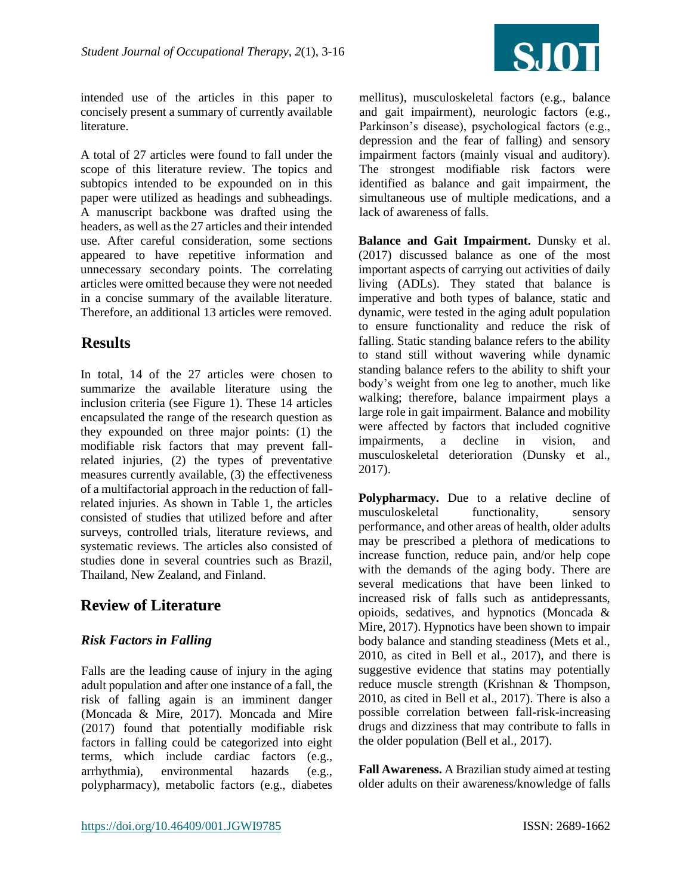

intended use of the articles in this paper to concisely present a summary of currently available literature.

A total of 27 articles were found to fall under the scope of this literature review. The topics and subtopics intended to be expounded on in this paper were utilized as headings and subheadings. A manuscript backbone was drafted using the headers, as well as the 27 articles and their intended use. After careful consideration, some sections appeared to have repetitive information and unnecessary secondary points. The correlating articles were omitted because they were not needed in a concise summary of the available literature. Therefore, an additional 13 articles were removed.

## **Results**

In total, 14 of the 27 articles were chosen to summarize the available literature using the inclusion criteria (see Figure 1). These 14 articles encapsulated the range of the research question as they expounded on three major points: (1) the modifiable risk factors that may prevent fallrelated injuries, (2) the types of preventative measures currently available, (3) the effectiveness of a multifactorial approach in the reduction of fallrelated injuries. As shown in Table 1, the articles consisted of studies that utilized before and after surveys, controlled trials, literature reviews, and systematic reviews. The articles also consisted of studies done in several countries such as Brazil, Thailand, New Zealand, and Finland.

## **Review of Literature**

#### *Risk Factors in Falling*

Falls are the leading cause of injury in the aging adult population and after one instance of a fall, the risk of falling again is an imminent danger (Moncada & Mire, 2017). Moncada and Mire (2017) found that potentially modifiable risk factors in falling could be categorized into eight terms, which include cardiac factors (e.g., arrhythmia), environmental hazards (e.g., polypharmacy), metabolic factors (e.g., diabetes mellitus), musculoskeletal factors (e.g., balance and gait impairment), neurologic factors (e.g., Parkinson's disease), psychological factors (e.g., depression and the fear of falling) and sensory impairment factors (mainly visual and auditory). The strongest modifiable risk factors were identified as balance and gait impairment, the simultaneous use of multiple medications, and a lack of awareness of falls.

**Balance and Gait Impairment.** Dunsky et al. (2017) discussed balance as one of the most important aspects of carrying out activities of daily living (ADLs). They stated that balance is imperative and both types of balance, static and dynamic, were tested in the aging adult population to ensure functionality and reduce the risk of falling. Static standing balance refers to the ability to stand still without wavering while dynamic standing balance refers to the ability to shift your body's weight from one leg to another, much like walking; therefore, balance impairment plays a large role in gait impairment. Balance and mobility were affected by factors that included cognitive impairments, a decline in vision, and musculoskeletal deterioration (Dunsky et al., 2017).

**Polypharmacy.** Due to a relative decline of musculoskeletal functionality, sensory performance, and other areas of health, older adults may be prescribed a plethora of medications to increase function, reduce pain, and/or help cope with the demands of the aging body. There are several medications that have been linked to increased risk of falls such as antidepressants, opioids, sedatives, and hypnotics (Moncada & Mire, 2017). Hypnotics have been shown to impair body balance and standing steadiness (Mets et al., 2010, as cited in Bell et al., 2017), and there is suggestive evidence that statins may potentially reduce muscle strength (Krishnan & Thompson, 2010, as cited in Bell et al., 2017). There is also a possible correlation between fall-risk-increasing drugs and dizziness that may contribute to falls in the older population (Bell et al., 2017).

**Fall Awareness.** A Brazilian study aimed at testing older adults on their awareness/knowledge of falls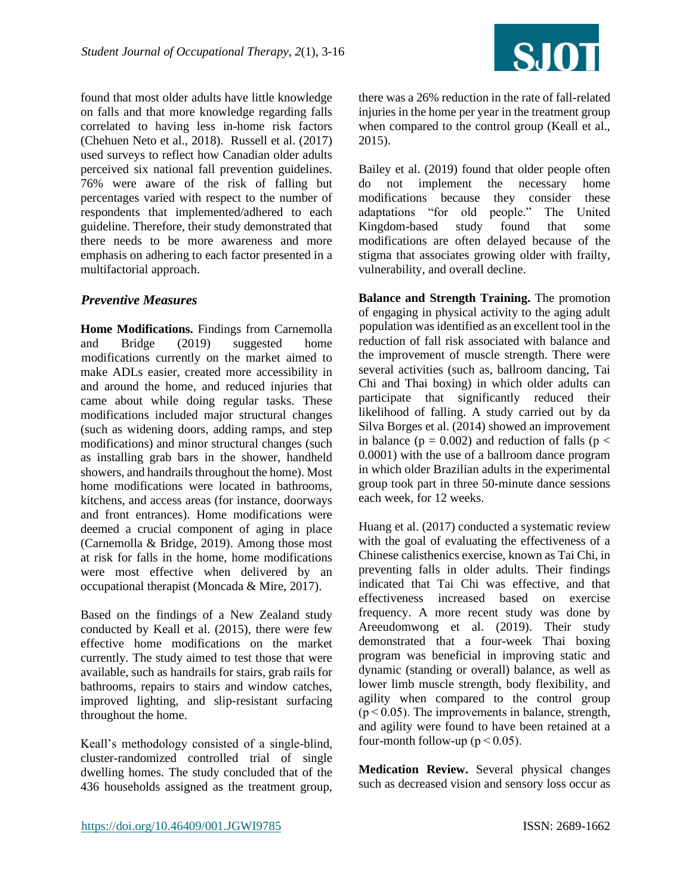

found that most older adults have little knowledge on falls and that more knowledge regarding falls correlated to having less in-home risk factors (Chehuen Neto et al., 2018). Russell et al. (2017) used surveys to reflect how Canadian older adults perceived six national fall prevention guidelines. 76% were aware of the risk of falling but percentages varied with respect to the number of respondents that implemented/adhered to each guideline. Therefore, their study demonstrated that there needs to be more awareness and more emphasis on adhering to each factor presented in a multifactorial approach.

#### *Preventive Measures*

**Home Modifications.** Findings from Carnemolla and Bridge (2019) suggested home modifications currently on the market aimed to make ADLs easier, created more accessibility in and around the home, and reduced injuries that came about while doing regular tasks. These modifications included major structural changes (such as widening doors, adding ramps, and step modifications) and minor structural changes (such as installing grab bars in the shower, handheld showers, and handrails throughout the home). Most home modifications were located in bathrooms, kitchens, and access areas (for instance, doorways and front entrances). Home modifications were deemed a crucial component of aging in place (Carnemolla & Bridge, 2019). Among those most at risk for falls in the home, home modifications were most effective when delivered by an occupational therapist (Moncada & Mire, 2017).

Based on the findings of a New Zealand study conducted by Keall et al. (2015), there were few effective home modifications on the market currently. The study aimed to test those that were available, such as handrails for stairs, grab rails for bathrooms, repairs to stairs and window catches, improved lighting, and slip-resistant surfacing throughout the home.

Keall's methodology consisted of a single-blind, cluster-randomized controlled trial of single dwelling homes. The study concluded that of the 436 households assigned as the treatment group,

there was a 26% reduction in the rate of fall-related injuries in the home per year in the treatment group when compared to the control group (Keall et al., 2015).

Bailey et al. (2019) found that older people often do not implement the necessary home modifications because they consider these adaptations "for old people." The United Kingdom-based study found that some modifications are often delayed because of the stigma that associates growing older with frailty, vulnerability, and overall decline.

**Balance and Strength Training.** The promotion of engaging in physical activity to the aging adult population was identified as an excellent tool in the reduction of fall risk associated with balance and the improvement of muscle strength. There were several activities (such as, ballroom dancing, Tai Chi and Thai boxing) in which older adults can participate that significantly reduced their likelihood of falling. A study carried out by da Silva Borges et al. (2014) showed an improvement in balance ( $p = 0.002$ ) and reduction of falls ( $p <$ 0.0001) with the use of a ballroom dance program in which older Brazilian adults in the experimental group took part in three 50-minute dance sessions each week, for 12 weeks.

Huang et al. (2017) conducted a systematic review with the goal of evaluating the effectiveness of a Chinese calisthenics exercise, known as Tai Chi, in preventing falls in older adults. Their findings indicated that Tai Chi was effective, and that effectiveness increased based on exercise frequency. A more recent study was done by Areeudomwong et al. (2019). Their study demonstrated that a four-week Thai boxing program was beneficial in improving static and dynamic (standing or overall) balance, as well as lower limb muscle strength, body flexibility, and agility when compared to the control group  $(p < 0.05)$ . The improvements in balance, strength, and agility were found to have been retained at a four-month follow-up ( $p < 0.05$ ).

**Medication Review.** Several physical changes such as decreased vision and sensory loss occur as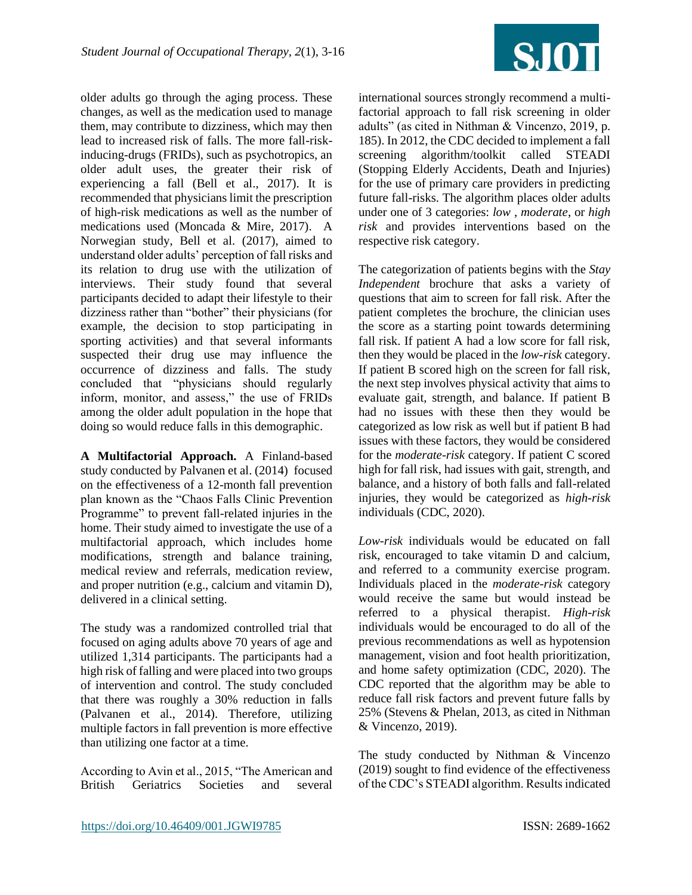![](_page_5_Picture_1.jpeg)

older adults go through the aging process. These changes, as well as the medication used to manage them, may contribute to dizziness, which may then lead to increased risk of falls. The more fall-riskinducing-drugs (FRIDs), such as psychotropics, an older adult uses, the greater their risk of experiencing a fall (Bell et al., 2017). It is recommended that physicians limit the prescription of high-risk medications as well as the number of medications used (Moncada & Mire, 2017). A Norwegian study, Bell et al. (2017), aimed to understand older adults' perception of fall risks and its relation to drug use with the utilization of interviews. Their study found that several participants decided to adapt their lifestyle to their dizziness rather than "bother" their physicians (for example, the decision to stop participating in sporting activities) and that several informants suspected their drug use may influence the occurrence of dizziness and falls. The study concluded that "physicians should regularly inform, monitor, and assess," the use of FRIDs among the older adult population in the hope that doing so would reduce falls in this demographic.

**A Multifactorial Approach.** A Finland-based study conducted by Palvanen et al. (2014) focused on the effectiveness of a 12-month fall prevention plan known as the "Chaos Falls Clinic Prevention Programme" to prevent fall-related injuries in the home. Their study aimed to investigate the use of a multifactorial approach, which includes home modifications, strength and balance training, medical review and referrals, medication review, and proper nutrition (e.g., calcium and vitamin D), delivered in a clinical setting.

The study was a randomized controlled trial that focused on aging adults above 70 years of age and utilized 1,314 participants. The participants had a high risk of falling and were placed into two groups of intervention and control. The study concluded that there was roughly a 30% reduction in falls (Palvanen et al., 2014). Therefore, utilizing multiple factors in fall prevention is more effective than utilizing one factor at a time.

According to Avin et al., 2015, "The American and British Geriatrics Societies and several

international sources strongly recommend a multifactorial approach to fall risk screening in older adults" (as cited in Nithman & Vincenzo, 2019, p. 185). In 2012, the CDC decided to implement a fall screening algorithm/toolkit called STEADI (Stopping Elderly Accidents, Death and Injuries) for the use of primary care providers in predicting future fall-risks. The algorithm places older adults under one of 3 categories: *low* , *moderate*, or *high risk* and provides interventions based on the respective risk category.

The categorization of patients begins with the *Stay Independent* brochure that asks a variety of questions that aim to screen for fall risk. After the patient completes the brochure, the clinician uses the score as a starting point towards determining fall risk. If patient A had a low score for fall risk, then they would be placed in the *low-risk* category. If patient B scored high on the screen for fall risk, the next step involves physical activity that aims to evaluate gait, strength, and balance. If patient B had no issues with these then they would be categorized as low risk as well but if patient B had issues with these factors, they would be considered for the *moderate-risk* category. If patient C scored high for fall risk, had issues with gait, strength, and balance, and a history of both falls and fall-related injuries, they would be categorized as *high-risk* individuals (CDC, 2020).

*Low-risk* individuals would be educated on fall risk, encouraged to take vitamin D and calcium, and referred to a community exercise program. Individuals placed in the *moderate-risk* category would receive the same but would instead be referred to a physical therapist. *High-risk* individuals would be encouraged to do all of the previous recommendations as well as hypotension management, vision and foot health prioritization, and home safety optimization (CDC, 2020). The CDC reported that the algorithm may be able to reduce fall risk factors and prevent future falls by 25% (Stevens & Phelan, 2013, as cited in Nithman & Vincenzo, 2019).

The study conducted by Nithman & Vincenzo (2019) sought to find evidence of the effectiveness of the CDC's STEADI algorithm. Results indicated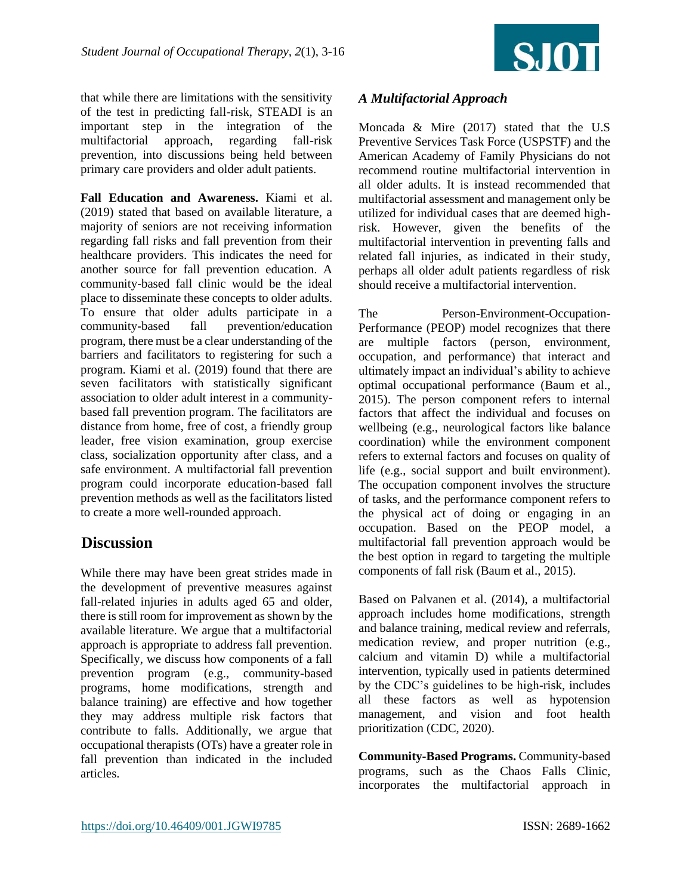![](_page_6_Picture_1.jpeg)

that while there are limitations with the sensitivity of the test in predicting fall-risk, STEADI is an important step in the integration of the multifactorial approach, regarding fall-risk prevention, into discussions being held between primary care providers and older adult patients.

**Fall Education and Awareness.** Kiami et al. (2019) stated that based on available literature, a majority of seniors are not receiving information regarding fall risks and fall prevention from their healthcare providers. This indicates the need for another source for fall prevention education. A community-based fall clinic would be the ideal place to disseminate these concepts to older adults. To ensure that older adults participate in a community-based fall prevention/education program, there must be a clear understanding of the barriers and facilitators to registering for such a program. Kiami et al. (2019) found that there are seven facilitators with statistically significant association to older adult interest in a communitybased fall prevention program. The facilitators are distance from home, free of cost, a friendly group leader, free vision examination, group exercise class, socialization opportunity after class, and a safe environment. A multifactorial fall prevention program could incorporate education-based fall prevention methods as well as the facilitators listed to create a more well-rounded approach.

### **Discussion**

While there may have been great strides made in the development of preventive measures against fall-related injuries in adults aged 65 and older, there is still room for improvement as shown by the available literature. We argue that a multifactorial approach is appropriate to address fall prevention. Specifically, we discuss how components of a fall prevention program (e.g., community-based programs, home modifications, strength and balance training) are effective and how together they may address multiple risk factors that contribute to falls. Additionally, we argue that occupational therapists (OTs) have a greater role in fall prevention than indicated in the included articles.

#### *A Multifactorial Approach*

Moncada & Mire (2017) stated that the U.S Preventive Services Task Force (USPSTF) and the American Academy of Family Physicians do not recommend routine multifactorial intervention in all older adults. It is instead recommended that multifactorial assessment and management only be utilized for individual cases that are deemed highrisk. However, given the benefits of the multifactorial intervention in preventing falls and related fall injuries, as indicated in their study, perhaps all older adult patients regardless of risk should receive a multifactorial intervention.

The Person-Environment-Occupation-Performance (PEOP) model recognizes that there are multiple factors (person, environment, occupation, and performance) that interact and ultimately impact an individual's ability to achieve optimal occupational performance (Baum et al., 2015). The person component refers to internal factors that affect the individual and focuses on wellbeing (e.g., neurological factors like balance coordination) while the environment component refers to external factors and focuses on quality of life (e.g., social support and built environment). The occupation component involves the structure of tasks, and the performance component refers to the physical act of doing or engaging in an occupation. Based on the PEOP model, a multifactorial fall prevention approach would be the best option in regard to targeting the multiple components of fall risk (Baum et al., 2015).

Based on Palvanen et al. (2014), a multifactorial approach includes home modifications, strength and balance training, medical review and referrals, medication review, and proper nutrition (e.g., calcium and vitamin D) while a multifactorial intervention, typically used in patients determined by the CDC's guidelines to be high-risk, includes all these factors as well as hypotension management, and vision and foot health prioritization (CDC, 2020).

**Community-Based Programs.** Community-based programs, such as the Chaos Falls Clinic, incorporates the multifactorial approach in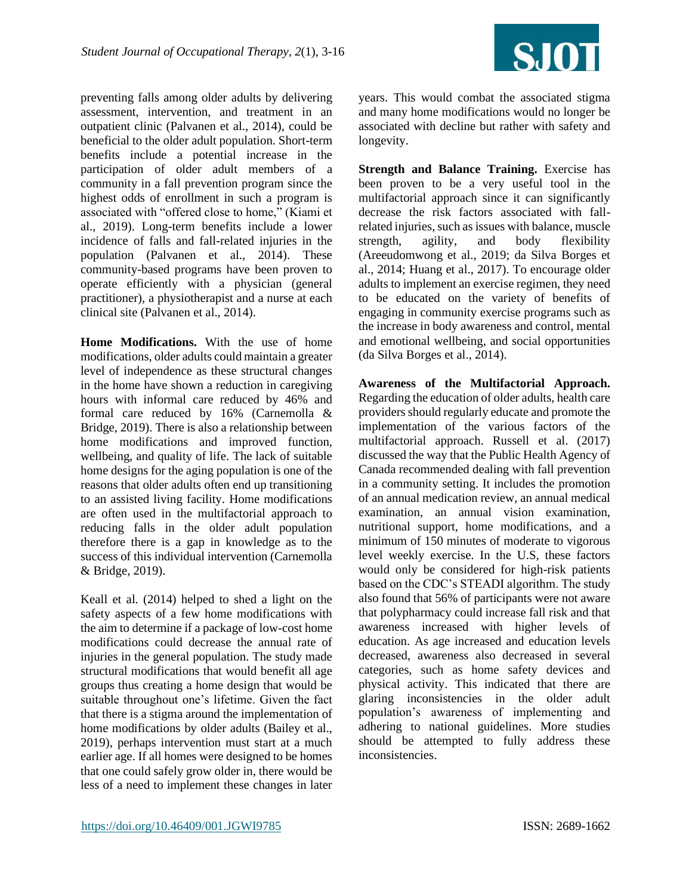![](_page_7_Picture_1.jpeg)

preventing falls among older adults by delivering assessment, intervention, and treatment in an outpatient clinic (Palvanen et al., 2014), could be beneficial to the older adult population. Short-term benefits include a potential increase in the participation of older adult members of a community in a fall prevention program since the highest odds of enrollment in such a program is associated with "offered close to home," (Kiami et al., 2019). Long-term benefits include a lower incidence of falls and fall-related injuries in the population (Palvanen et al., 2014). These community-based programs have been proven to operate efficiently with a physician (general practitioner), a physiotherapist and a nurse at each clinical site (Palvanen et al., 2014).

**Home Modifications.** With the use of home modifications, older adults could maintain a greater level of independence as these structural changes in the home have shown a reduction in caregiving hours with informal care reduced by 46% and formal care reduced by 16% (Carnemolla & Bridge, 2019). There is also a relationship between home modifications and improved function, wellbeing, and quality of life. The lack of suitable home designs for the aging population is one of the reasons that older adults often end up transitioning to an assisted living facility. Home modifications are often used in the multifactorial approach to reducing falls in the older adult population therefore there is a gap in knowledge as to the success of this individual intervention (Carnemolla & Bridge, 2019).

Keall et al. (2014) helped to shed a light on the safety aspects of a few home modifications with the aim to determine if a package of low-cost home modifications could decrease the annual rate of injuries in the general population. The study made structural modifications that would benefit all age groups thus creating a home design that would be suitable throughout one's lifetime. Given the fact that there is a stigma around the implementation of home modifications by older adults (Bailey et al., 2019), perhaps intervention must start at a much earlier age. If all homes were designed to be homes that one could safely grow older in, there would be less of a need to implement these changes in later

years. This would combat the associated stigma and many home modifications would no longer be associated with decline but rather with safety and longevity.

**Strength and Balance Training.** Exercise has been proven to be a very useful tool in the multifactorial approach since it can significantly decrease the risk factors associated with fallrelated injuries, such as issues with balance, muscle strength, agility, and body flexibility (Areeudomwong et al., 2019; da Silva Borges et al., 2014; Huang et al., 2017). To encourage older adults to implement an exercise regimen, they need to be educated on the variety of benefits of engaging in community exercise programs such as the increase in body awareness and control, mental and emotional wellbeing, and social opportunities (da Silva Borges et al., 2014).

**Awareness of the Multifactorial Approach.** Regarding the education of older adults, health care providers should regularly educate and promote the implementation of the various factors of the multifactorial approach. Russell et al. (2017) discussed the way that the Public Health Agency of Canada recommended dealing with fall prevention in a community setting. It includes the promotion of an annual medication review, an annual medical examination, an annual vision examination, nutritional support, home modifications, and a minimum of 150 minutes of moderate to vigorous level weekly exercise. In the U.S, these factors would only be considered for high-risk patients based on the CDC's STEADI algorithm. The study also found that 56% of participants were not aware that polypharmacy could increase fall risk and that awareness increased with higher levels of education. As age increased and education levels decreased, awareness also decreased in several categories, such as home safety devices and physical activity. This indicated that there are glaring inconsistencies in the older adult population's awareness of implementing and adhering to national guidelines. More studies should be attempted to fully address these inconsistencies.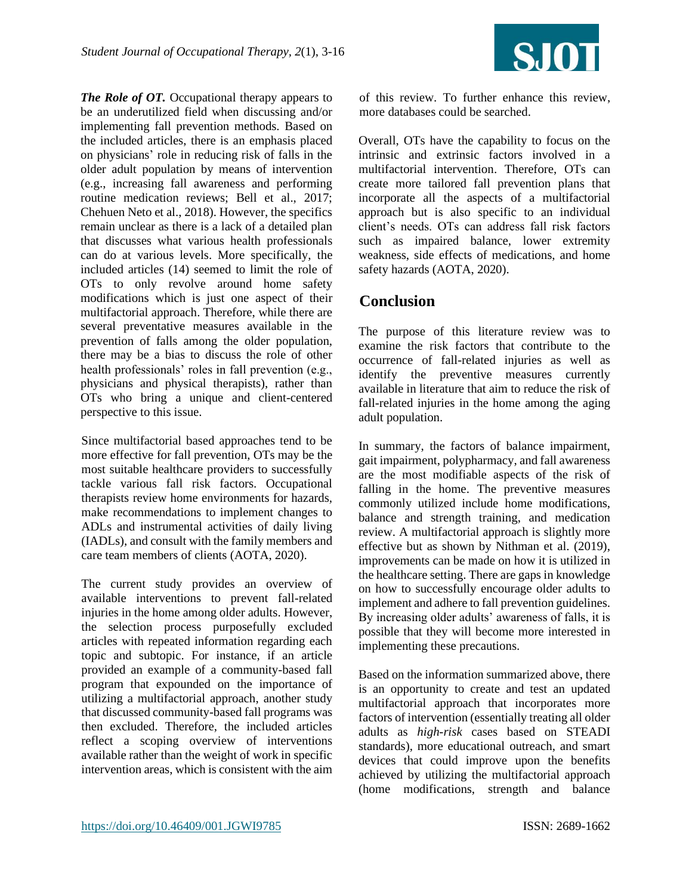![](_page_8_Picture_1.jpeg)

*The Role of OT.* Occupational therapy appears to be an underutilized field when discussing and/or implementing fall prevention methods. Based on the included articles, there is an emphasis placed on physicians' role in reducing risk of falls in the older adult population by means of intervention (e.g., increasing fall awareness and performing routine medication reviews; Bell et al., 2017; Chehuen Neto et al., 2018). However, the specifics remain unclear as there is a lack of a detailed plan that discusses what various health professionals can do at various levels. More specifically, the included articles (14) seemed to limit the role of OTs to only revolve around home safety modifications which is just one aspect of their multifactorial approach. Therefore, while there are several preventative measures available in the prevention of falls among the older population, there may be a bias to discuss the role of other health professionals' roles in fall prevention (e.g., physicians and physical therapists), rather than OTs who bring a unique and client-centered perspective to this issue.

Since multifactorial based approaches tend to be more effective for fall prevention, OTs may be the most suitable healthcare providers to successfully tackle various fall risk factors. Occupational therapists review home environments for hazards, make recommendations to implement changes to ADLs and instrumental activities of daily living (IADLs), and consult with the family members and care team members of clients (AOTA, 2020).

The current study provides an overview of available interventions to prevent fall-related injuries in the home among older adults. However, the selection process purposefully excluded articles with repeated information regarding each topic and subtopic. For instance, if an article provided an example of a community-based fall program that expounded on the importance of utilizing a multifactorial approach, another study that discussed community-based fall programs was then excluded. Therefore, the included articles reflect a scoping overview of interventions available rather than the weight of work in specific intervention areas, which is consistent with the aim

of this review. To further enhance this review, more databases could be searched.

Overall, OTs have the capability to focus on the intrinsic and extrinsic factors involved in a multifactorial intervention. Therefore, OTs can create more tailored fall prevention plans that incorporate all the aspects of a multifactorial approach but is also specific to an individual client's needs. OTs can address fall risk factors such as impaired balance, lower extremity weakness, side effects of medications, and home safety hazards (AOTA, 2020).

#### **Conclusion**

The purpose of this literature review was to examine the risk factors that contribute to the occurrence of fall-related injuries as well as identify the preventive measures currently available in literature that aim to reduce the risk of fall-related injuries in the home among the aging adult population.

In summary, the factors of balance impairment, gait impairment, polypharmacy, and fall awareness are the most modifiable aspects of the risk of falling in the home. The preventive measures commonly utilized include home modifications, balance and strength training, and medication review. A multifactorial approach is slightly more effective but as shown by Nithman et al. (2019), improvements can be made on how it is utilized in the healthcare setting. There are gaps in knowledge on how to successfully encourage older adults to implement and adhere to fall prevention guidelines. By increasing older adults' awareness of falls, it is possible that they will become more interested in implementing these precautions.

Based on the information summarized above, there is an opportunity to create and test an updated multifactorial approach that incorporates more factors of intervention (essentially treating all older adults as *high-risk* cases based on STEADI standards), more educational outreach, and smart devices that could improve upon the benefits achieved by utilizing the multifactorial approach (home modifications, strength and balance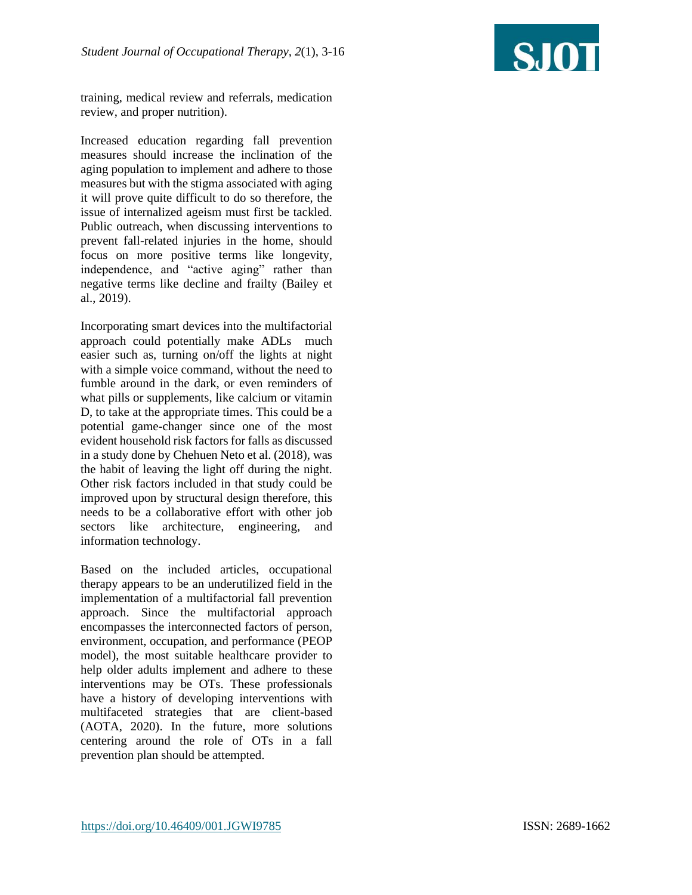![](_page_9_Picture_1.jpeg)

training, medical review and referrals, medication review, and proper nutrition).

Increased education regarding fall prevention measures should increase the inclination of the aging population to implement and adhere to those measures but with the stigma associated with aging it will prove quite difficult to do so therefore, the issue of internalized ageism must first be tackled. Public outreach, when discussing interventions to prevent fall-related injuries in the home, should focus on more positive terms like longevity, independence, and "active aging" rather than negative terms like decline and frailty (Bailey et al., 2019).

Incorporating smart devices into the multifactorial approach could potentially make ADLs much easier such as, turning on/off the lights at night with a simple voice command, without the need to fumble around in the dark, or even reminders of what pills or supplements, like calcium or vitamin D, to take at the appropriate times. This could be a potential game-changer since one of the most evident household risk factors for falls as discussed in a study done by Chehuen Neto et al. (2018), was the habit of leaving the light off during the night. Other risk factors included in that study could be improved upon by structural design therefore, this needs to be a collaborative effort with other job sectors like architecture, engineering, and information technology.

Based on the included articles, occupational therapy appears to be an underutilized field in the implementation of a multifactorial fall prevention approach. Since the multifactorial approach encompasses the interconnected factors of person, environment, occupation, and performance (PEOP model), the most suitable healthcare provider to help older adults implement and adhere to these interventions may be OTs. These professionals have a history of developing interventions with multifaceted strategies that are client-based (AOTA, 2020). In the future, more solutions centering around the role of OTs in a fall prevention plan should be attempted.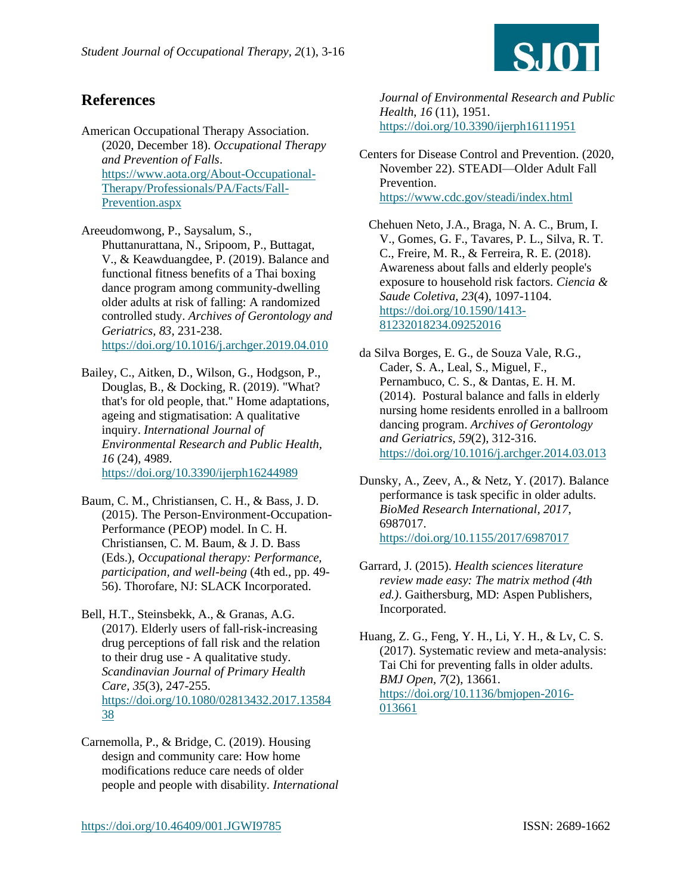![](_page_10_Picture_1.jpeg)

## **References**

American Occupational Therapy Association. (2020, December 18). *Occupational Therapy and Prevention of Falls*. [https://www.aota.org/About-Occupational-](https://www.aota.org/About-Occupational-Therapy/Professionals/PA/Facts/Fall-Prevention.aspx)[Therapy/Professionals/PA/Facts/Fall-](https://www.aota.org/About-Occupational-Therapy/Professionals/PA/Facts/Fall-Prevention.aspx)[Prevention.aspx](https://www.aota.org/About-Occupational-Therapy/Professionals/PA/Facts/Fall-Prevention.aspx)

Areeudomwong, P., Saysalum, S., Phuttanurattana, N., Sripoom, P., Buttagat, V., & Keawduangdee, P. (2019). Balance and functional fitness benefits of a Thai boxing dance program among community-dwelling older adults at risk of falling: A randomized controlled study. *Archives of Gerontology and Geriatrics, 83*, 231-238. <https://doi.org/10.1016/j.archger.2019.04.010>

Bailey, C., Aitken, D., Wilson, G., Hodgson, P., Douglas, B., & Docking, R. (2019). "What? that's for old people, that." Home adaptations, ageing and stigmatisation: A qualitative inquiry. *International Journal of Environmental Research and Public Health, 16* (24), 4989. <https://doi.org/10.3390/ijerph16244989>

Baum, C. M., Christiansen, C. H., & Bass, J. D. (2015). The Person-Environment-Occupation-Performance (PEOP) model. In C. H. Christiansen, C. M. Baum, & J. D. Bass (Eds.), *Occupational therapy: Performance, participation, and well-being* (4th ed., pp. 49- 56). Thorofare, NJ: SLACK Incorporated.

Bell, H.T., Steinsbekk, A., & Granas, A.G. (2017). Elderly users of fall-risk-increasing drug perceptions of fall risk and the relation to their drug use - A qualitative study. *Scandinavian Journal of Primary Health Care, 35*(3), 247-255. [https://doi.org/10.1080/02813432.2017.13584](https://doi.org/10.1080/02813432.2017.1358438) [38](https://doi.org/10.1080/02813432.2017.1358438) 

Carnemolla, P., & Bridge, C. (2019). Housing design and community care: How home modifications reduce care needs of older people and people with disability. *International* *Journal of Environmental Research and Public Health*, *16* (11), 1951. <https://doi.org/10.3390/ijerph16111951>

Centers for Disease Control and Prevention. (2020, November 22). STEADI—Older Adult Fall Prevention. <https://www.cdc.gov/steadi/index.html>

 Chehuen Neto, J.A., Braga, N. A. C., Brum, I. V., Gomes, G. F., Tavares, P. L., Silva, R. T. C., Freire, M. R., & Ferreira, R. E. (2018). Awareness about falls and elderly people's exposure to household risk factors. *Ciencia & Saude Coletiva, 23*(4), 1097-1104. [https://doi.org/10.1590/1413-](https://doi.org/10.1590/1413-81232018234.09252016) [81232018234.09252016](https://doi.org/10.1590/1413-81232018234.09252016)

da Silva Borges, E. G., de Souza Vale, R.G., Cader, S. A., Leal, S., Miguel, F., Pernambuco, C. S., & Dantas, E. H. M. (2014). Postural balance and falls in elderly nursing home residents enrolled in a ballroom dancing program. *Archives of Gerontology and Geriatrics, 59*(2), 312-316. <https://doi.org/10.1016/j.archger.2014.03.013>

- Dunsky, A., Zeev, A., & Netz, Y. (2017). Balance performance is task specific in older adults. *BioMed Research International, 2017*, 6987017. <https://doi.org/10.1155/2017/6987017>
- Garrard, J. (2015). *Health sciences literature review made easy: The matrix method (4th ed.)*. Gaithersburg, MD: Aspen Publishers, Incorporated.

Huang, Z. G., Feng, Y. H., Li, Y. H., & Lv, C. S. (2017). Systematic review and meta-analysis: Tai Chi for preventing falls in older adults. *BMJ Open, 7*(2), 13661. [https://doi.org/10.1136/bmjopen-2016-](https://doi.org/10.1136/bmjopen-2016-013661) [013661](https://doi.org/10.1136/bmjopen-2016-013661)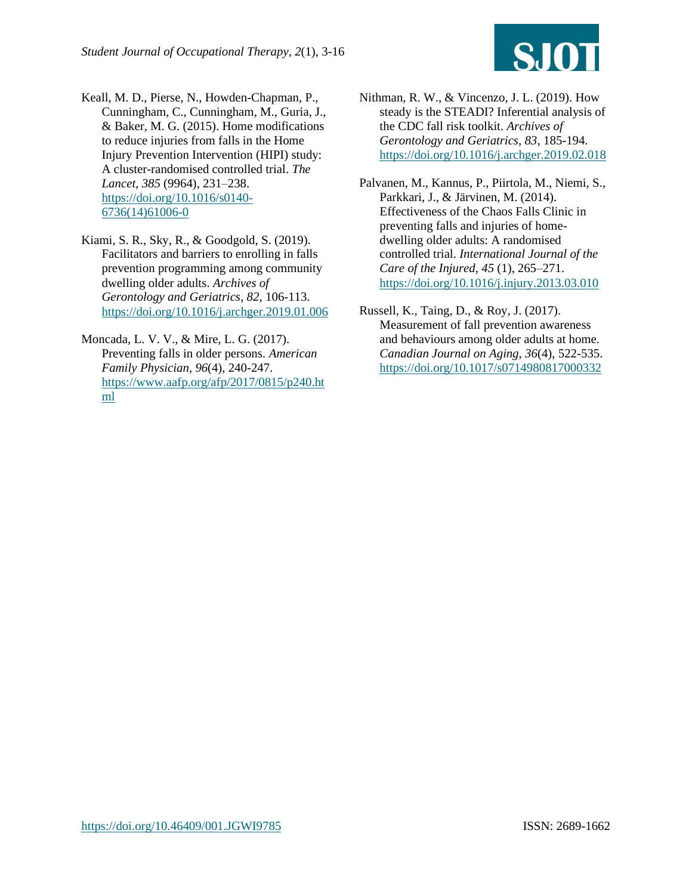![](_page_11_Picture_1.jpeg)

Keall, M. D., Pierse, N., Howden-Chapman, P., Cunningham, C., Cunningham, M., Guria, J., & Baker, M. G. (2015). Home modifications to reduce injuries from falls in the Home Injury Prevention Intervention (HIPI) study: A cluster-randomised controlled trial. *The Lancet*, *385* (9964), 231–238. [https://doi.org/10.1016/s0140-](https://doi.org/10.1016/s0140-6736(14)61006-0) [6736\(14\)61006-0](https://doi.org/10.1016/s0140-6736(14)61006-0)

Kiami, S. R., Sky, R., & Goodgold, S. (2019). Facilitators and barriers to enrolling in falls prevention programming among community dwelling older adults. *Archives of Gerontology and Geriatrics*, *82*, 106-113. <https://doi.org/10.1016/j.archger.2019.01.006>

Moncada, L. V. V., & Mire, L. G. (2017). Preventing falls in older persons. *American Family Physician, 96*(4), 240-247. [https://www.aafp.org/afp/2017/0815/p240.ht](https://www.aafp.org/afp/2017/0815/p240.html) [ml](https://www.aafp.org/afp/2017/0815/p240.html)

Nithman, R. W., & Vincenzo, J. L. (2019). How steady is the STEADI? Inferential analysis of the CDC fall risk toolkit. *Archives of Gerontology and Geriatrics, 83*, 185-194. <https://doi.org/10.1016/j.archger.2019.02.018>

Palvanen, M., Kannus, P., Piirtola, M., Niemi, S., Parkkari, J., & Järvinen, M. (2014). Effectiveness of the Chaos Falls Clinic in preventing falls and injuries of homedwelling older adults: A randomised controlled trial. *International Journal of the Care of the Injured*, *45* (1), 265–271. <https://doi.org/10.1016/j.injury.2013.03.010>

Russell, K., Taing, D., & Roy, J. (2017). Measurement of fall prevention awareness and behaviours among older adults at home. *Canadian Journal on Aging, 36*(4), 522-535. <https://doi.org/10.1017/s0714980817000332>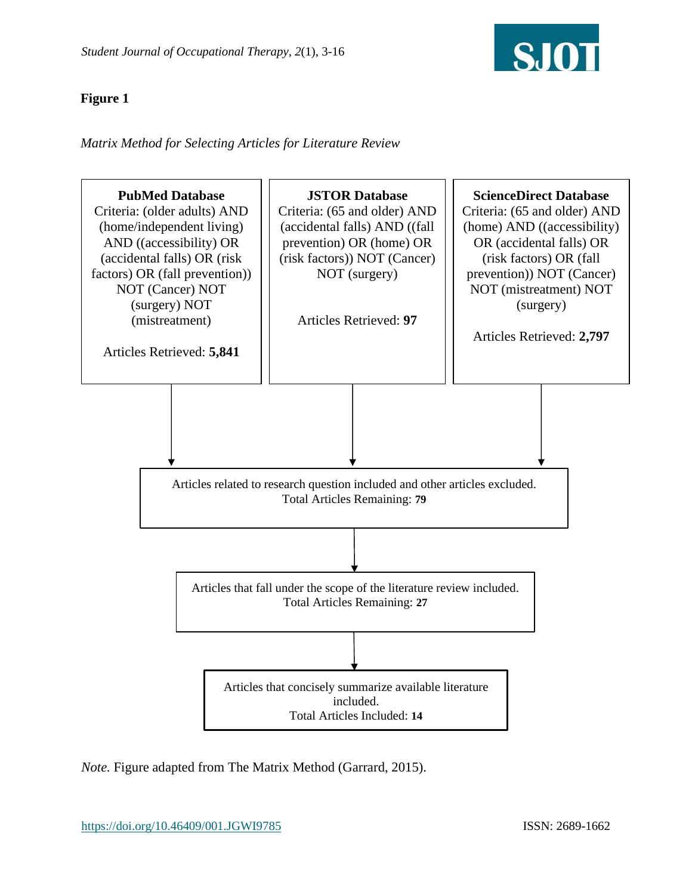![](_page_12_Picture_1.jpeg)

#### **Figure 1**

*Matrix Method for Selecting Articles for Literature Review* 

![](_page_12_Figure_4.jpeg)

*Note.* Figure adapted from The Matrix Method (Garrard, 2015).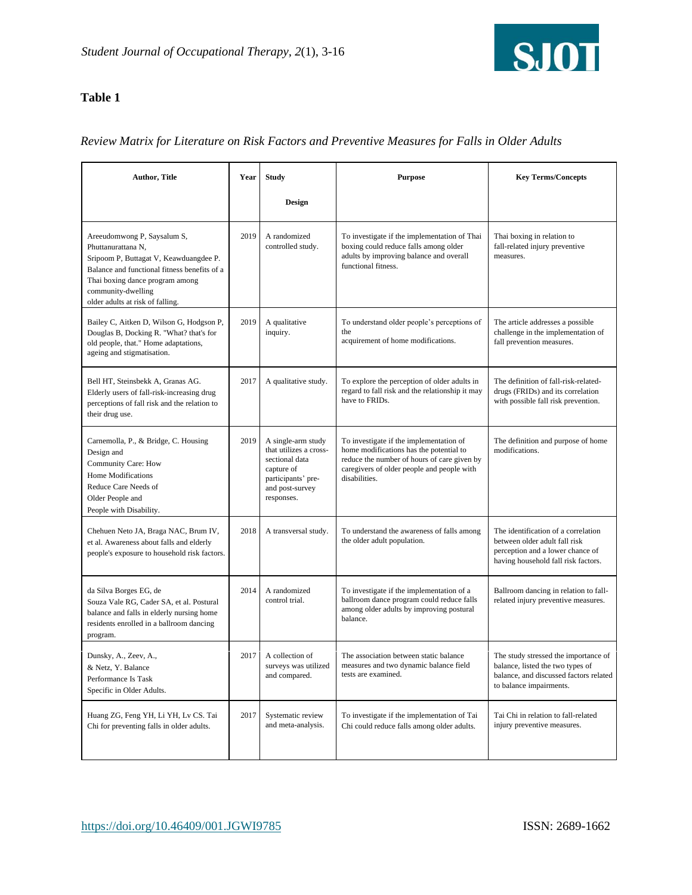![](_page_13_Picture_1.jpeg)

#### **Table 1**

#### *Review Matrix for Literature on Risk Factors and Preventive Measures for Falls in Older Adults*

| <b>Author, Title</b>                                                                                                                                                                                                                     | Year | <b>Study</b>                                                                                                                        | <b>Purpose</b>                                                                                                                                                                                   | <b>Key Terms/Concepts</b>                                                                                                                       |
|------------------------------------------------------------------------------------------------------------------------------------------------------------------------------------------------------------------------------------------|------|-------------------------------------------------------------------------------------------------------------------------------------|--------------------------------------------------------------------------------------------------------------------------------------------------------------------------------------------------|-------------------------------------------------------------------------------------------------------------------------------------------------|
|                                                                                                                                                                                                                                          |      | Design                                                                                                                              |                                                                                                                                                                                                  |                                                                                                                                                 |
| Areeudomwong P, Saysalum S,<br>Phuttanurattana N.<br>Sripoom P, Buttagat V, Keawduangdee P.<br>Balance and functional fitness benefits of a<br>Thai boxing dance program among<br>community-dwelling<br>older adults at risk of falling. | 2019 | A randomized<br>controlled study.                                                                                                   | To investigate if the implementation of Thai<br>boxing could reduce falls among older<br>adults by improving balance and overall<br>functional fitness.                                          | Thai boxing in relation to<br>fall-related injury preventive<br>measures.                                                                       |
| Bailey C, Aitken D, Wilson G, Hodgson P,<br>Douglas B, Docking R. "What? that's for<br>old people, that." Home adaptations,<br>ageing and stigmatisation.                                                                                | 2019 | A qualitative<br>inquiry.                                                                                                           | To understand older people's perceptions of<br>the<br>acquirement of home modifications.                                                                                                         | The article addresses a possible<br>challenge in the implementation of<br>fall prevention measures.                                             |
| Bell HT, Steinsbekk A, Granas AG.<br>Elderly users of fall-risk-increasing drug<br>perceptions of fall risk and the relation to<br>their drug use.                                                                                       | 2017 | A qualitative study.                                                                                                                | To explore the perception of older adults in<br>regard to fall risk and the relationship it may<br>have to FRIDs.                                                                                | The definition of fall-risk-related-<br>drugs (FRIDs) and its correlation<br>with possible fall risk prevention.                                |
| Carnemolla, P., & Bridge, C. Housing<br>Design and<br>Community Care: How<br>Home Modifications<br>Reduce Care Needs of<br>Older People and<br>People with Disability.                                                                   | 2019 | A single-arm study<br>that utilizes a cross-<br>sectional data<br>capture of<br>participants' pre-<br>and post-survey<br>responses. | To investigate if the implementation of<br>home modifications has the potential to<br>reduce the number of hours of care given by<br>caregivers of older people and people with<br>disabilities. | The definition and purpose of home<br>modifications.                                                                                            |
| Chehuen Neto JA, Braga NAC, Brum IV,<br>et al. Awareness about falls and elderly<br>people's exposure to household risk factors.                                                                                                         | 2018 | A transversal study.                                                                                                                | To understand the awareness of falls among<br>the older adult population.                                                                                                                        | The identification of a correlation<br>between older adult fall risk<br>perception and a lower chance of<br>having household fall risk factors. |
| da Silva Borges EG, de<br>Souza Vale RG, Cader SA, et al. Postural<br>balance and falls in elderly nursing home<br>residents enrolled in a ballroom dancing<br>program.                                                                  | 2014 | A randomized<br>control trial.                                                                                                      | To investigate if the implementation of a<br>ballroom dance program could reduce falls<br>among older adults by improving postural<br>balance.                                                   | Ballroom dancing in relation to fall-<br>related injury preventive measures.                                                                    |
| Dunsky, A., Zeev, A.,<br>& Netz, Y. Balance<br>Performance Is Task<br>Specific in Older Adults.                                                                                                                                          | 2017 | A collection of<br>surveys was utilized<br>and compared.                                                                            | The association between static balance<br>measures and two dynamic balance field<br>tests are examined.                                                                                          | The study stressed the importance of<br>balance, listed the two types of<br>balance, and discussed factors related<br>to balance impairments.   |
| Huang ZG, Feng YH, Li YH, Lv CS. Tai<br>Chi for preventing falls in older adults.                                                                                                                                                        | 2017 | Systematic review<br>and meta-analysis.                                                                                             | To investigate if the implementation of Tai<br>Chi could reduce falls among older adults.                                                                                                        | Tai Chi in relation to fall-related<br>injury preventive measures.                                                                              |